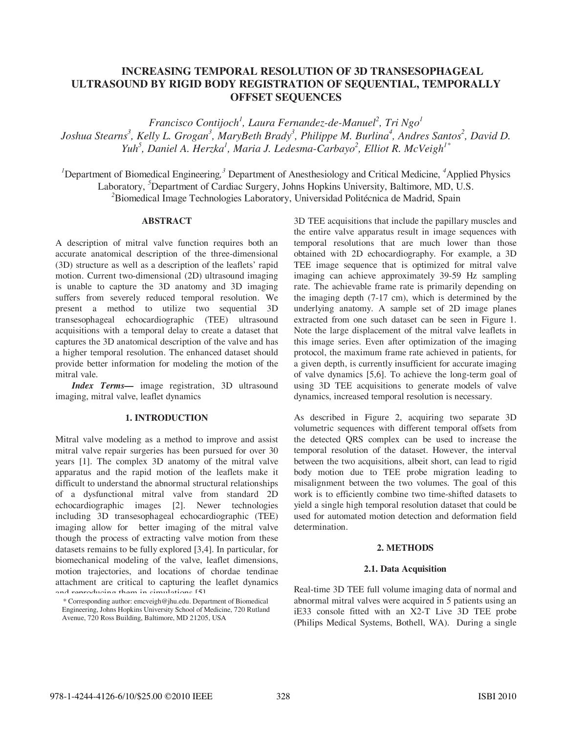# **INCREASING TEMPORAL RESOLUTION OF 3D TRANSESOPHAGEAL ULTRASOUND BY RIGID BODY REGISTRATION OF SEQUENTIAL, TEMPORALLY OFFSET SEQUENCES**

*Francisco Contijoch1 , Laura Fernandez-de-Manuel<sup>2</sup> , Tri Ngo<sup>1</sup> Joshua Stearns<sup>3</sup>, Kelly L. Grogan<sup>3</sup>, MaryBeth Brady<sup>3</sup>, Philippe M. Burlina<sup>4</sup>, Andres Santos<sup>2</sup>, David D.*  $Yuh<sup>5</sup>$ , Daniel A. Herzka<sup>1</sup>, Maria J. Ledesma-Carbayo<sup>2</sup>, Elliot R. McVeigh<sup>1\*</sup>

<sup>1</sup>Department of Biomedical Engineering,<sup>3</sup> Department of Anesthesiology and Critical Medicine, <sup>4</sup>Applied Physics Laboratory, *<sup>5</sup>* Department of Cardiac Surgery, Johns Hopkins University, Baltimore, MD, U.S. *2* Biomedical Image Technologies Laboratory, Universidad Politécnica de Madrid, Spain

# **ABSTRACT**

A description of mitral valve function requires both an accurate anatomical description of the three-dimensional (3D) structure as well as a description of the leaflets' rapid motion. Current two-dimensional (2D) ultrasound imaging is unable to capture the 3D anatomy and 3D imaging suffers from severely reduced temporal resolution. We present a method to utilize two sequential 3D transesophageal echocardiographic (TEE) ultrasound acquisitions with a temporal delay to create a dataset that captures the 3D anatomical description of the valve and has a higher temporal resolution. The enhanced dataset should provide better information for modeling the motion of the mitral vale.

*Index Terms—* image registration, 3D ultrasound imaging, mitral valve, leaflet dynamics

# **1. INTRODUCTION**

Mitral valve modeling as a method to improve and assist mitral valve repair surgeries has been pursued for over 30 years [1]. The complex 3D anatomy of the mitral valve apparatus and the rapid motion of the leaflets make it difficult to understand the abnormal structural relationships of a dysfunctional mitral valve from standard 2D echocardiographic images [2]. Newer technologies including 3D transesophageal echocardiographic (TEE) imaging allow for better imaging of the mitral valve though the process of extracting valve motion from these datasets remains to be fully explored [3,4]. In particular, for biomechanical modeling of the valve, leaflet dimensions, motion trajectories, and locations of chordae tendinae attachment are critical to capturing the leaflet dynamics and reproducing them in simulations [5].

3D TEE acquisitions that include the papillary muscles and the entire valve apparatus result in image sequences with temporal resolutions that are much lower than those obtained with 2D echocardiography. For example, a 3D TEE image sequence that is optimized for mitral valve imaging can achieve approximately 39-59 Hz sampling rate. The achievable frame rate is primarily depending on the imaging depth (7-17 cm), which is determined by the underlying anatomy. A sample set of 2D image planes extracted from one such dataset can be seen in Figure 1. Note the large displacement of the mitral valve leaflets in this image series. Even after optimization of the imaging protocol, the maximum frame rate achieved in patients, for a given depth, is currently insufficient for accurate imaging of valve dynamics [5,6]. To achieve the long-term goal of using 3D TEE acquisitions to generate models of valve dynamics, increased temporal resolution is necessary.

As described in Figure 2, acquiring two separate 3D volumetric sequences with different temporal offsets from the detected QRS complex can be used to increase the temporal resolution of the dataset. However, the interval between the two acquisitions, albeit short, can lead to rigid body motion due to TEE probe migration leading to misalignment between the two volumes. The goal of this work is to efficiently combine two time-shifted datasets to yield a single high temporal resolution dataset that could be used for automated motion detection and deformation field determination.

# **2. METHODS**

# **2.1. Data Acquisition**

Real-time 3D TEE full volume imaging data of normal and abnormal mitral valves were acquired in 5 patients using an iE33 console fitted with an X2-T Live 3D TEE probe (Philips Medical Systems, Bothell, WA). During a single

<sup>\*</sup> Corresponding author: emcveigh@jhu.edu. Department of Biomedical Engineering, Johns Hopkins University School of Medicine, 720 Rutland Avenue, 720 Ross Building, Baltimore, MD 21205, USA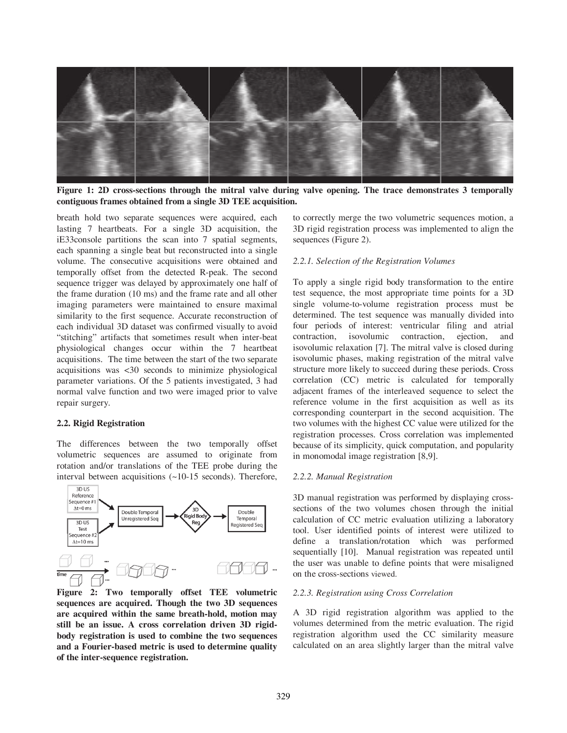

**Figure 1: 2D cross-sections through the mitral valve during valve opening. The trace demonstrates 3 temporally contiguous frames obtained from a single 3D TEE acquisition.** 

breath hold two separate sequences were acquired, each lasting 7 heartbeats. For a single 3D acquisition, the iE33console partitions the scan into 7 spatial segments, each spanning a single beat but reconstructed into a single volume. The consecutive acquisitions were obtained and temporally offset from the detected R-peak. The second sequence trigger was delayed by approximately one half of the frame duration (10 ms) and the frame rate and all other imaging parameters were maintained to ensure maximal similarity to the first sequence. Accurate reconstruction of each individual 3D dataset was confirmed visually to avoid "stitching" artifacts that sometimes result when inter-beat physiological changes occur within the 7 heartbeat acquisitions. The time between the start of the two separate acquisitions was <30 seconds to minimize physiological parameter variations. Of the 5 patients investigated, 3 had normal valve function and two were imaged prior to valve repair surgery.

# **2.2. Rigid Registration**

The differences between the two temporally offset volumetric sequences are assumed to originate from rotation and/or translations of the TEE probe during the interval between acquisitions (~10-15 seconds). Therefore,



**Figure 2: Two temporally offset TEE volumetric sequences are acquired. Though the two 3D sequences are acquired within the same breath-hold, motion may still be an issue. A cross correlation driven 3D rigidbody registration is used to combine the two sequences and a Fourier-based metric is used to determine quality of the inter-sequence registration.** 

to correctly merge the two volumetric sequences motion, a 3D rigid registration process was implemented to align the sequences (Figure 2).

### *2.2.1. Selection of the Registration Volumes*

To apply a single rigid body transformation to the entire test sequence, the most appropriate time points for a 3D single volume-to-volume registration process must be determined. The test sequence was manually divided into four periods of interest: ventricular filing and atrial contraction, isovolumic contraction, ejection, and isovolumic relaxation [7]. The mitral valve is closed during isovolumic phases, making registration of the mitral valve structure more likely to succeed during these periods. Cross correlation (CC) metric is calculated for temporally adjacent frames of the interleaved sequence to select the reference volume in the first acquisition as well as its corresponding counterpart in the second acquisition. The two volumes with the highest CC value were utilized for the registration processes. Cross correlation was implemented because of its simplicity, quick computation, and popularity in monomodal image registration [8,9].

### *2.2.2. Manual Registration*

3D manual registration was performed by displaying crosssections of the two volumes chosen through the initial calculation of CC metric evaluation utilizing a laboratory tool. User identified points of interest were utilized to define a translation/rotation which was performed sequentially [10]. Manual registration was repeated until the user was unable to define points that were misaligned on the cross-sections viewed.

#### *2.2.3. Registration using Cross Correlation*

A 3D rigid registration algorithm was applied to the volumes determined from the metric evaluation. The rigid registration algorithm used the CC similarity measure calculated on an area slightly larger than the mitral valve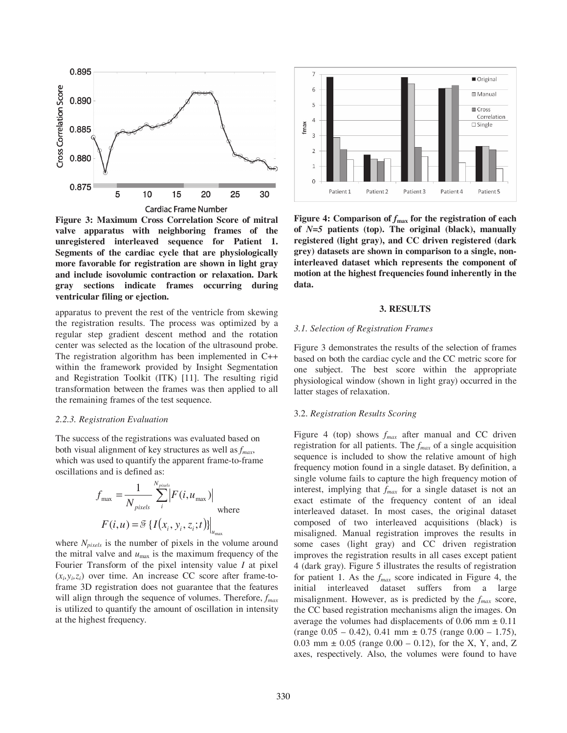

**Figure 3: Maximum Cross Correlation Score of mitral valve apparatus with neighboring frames of the unregistered interleaved sequence for Patient 1. Segments of the cardiac cycle that are physiologically more favorable for registration are shown in light gray and include isovolumic contraction or relaxation. Dark gray sections indicate frames occurring during ventricular filing or ejection.** 

apparatus to prevent the rest of the ventricle from skewing the registration results. The process was optimized by a regular step gradient descent method and the rotation center was selected as the location of the ultrasound probe. The registration algorithm has been implemented in C++ within the framework provided by Insight Segmentation and Registration Toolkit (ITK) [11]. The resulting rigid transformation between the frames was then applied to all the remaining frames of the test sequence.

#### *2.2.3. Registration Evaluation*

The success of the registrations was evaluated based on both visual alignment of key structures as well as *fmax*, which was used to quantify the apparent frame-to-frame oscillations and is defined as:

$$
f_{\text{max}} = \frac{1}{N_{pixels}} \sum_{i}^{N_{pixels}} |F(i, u_{\text{max}})|
$$
  
where  

$$
F(i, u) = \mathcal{F}\left\{I(x_i, y_i, z_i; t)\right\}|_{u_{\text{max}}}
$$

where  $N_{pixels}$  is the number of pixels in the volume around the mitral valve and  $u_{\text{max}}$  is the maximum frequency of the Fourier Transform of the pixel intensity value *I* at pixel  $(x_i, y_i, z_i)$  over time. An increase CC score after frame-toframe 3D registration does not guarantee that the features will align through the sequence of volumes. Therefore,  $f_{max}$ is utilized to quantify the amount of oscillation in intensity at the highest frequency.



Figure 4: Comparison of  $f_{\text{max}}$  for the registration of each **of** *N=5* **patients (top). The original (black), manually registered (light gray), and CC driven registered (dark grey) datasets are shown in comparison to a single, noninterleaved dataset which represents the component of motion at the highest frequencies found inherently in the data.** 

### **3. RESULTS**

#### *3.1. Selection of Registration Frames*

Figure 3 demonstrates the results of the selection of frames based on both the cardiac cycle and the CC metric score for one subject. The best score within the appropriate physiological window (shown in light gray) occurred in the latter stages of relaxation.

### 3.2. *Registration Results Scoring*

Figure 4 (top) shows *fmax* after manual and CC driven registration for all patients. The *fmax* of a single acquisition sequence is included to show the relative amount of high frequency motion found in a single dataset. By definition, a single volume fails to capture the high frequency motion of interest, implying that *fmax* for a single dataset is not an exact estimate of the frequency content of an ideal interleaved dataset. In most cases, the original dataset composed of two interleaved acquisitions (black) is misaligned. Manual registration improves the results in some cases (light gray) and CC driven registration improves the registration results in all cases except patient 4 (dark gray). Figure 5 illustrates the results of registration for patient 1. As the *fmax* score indicated in Figure 4, the initial interleaved dataset suffers from a large misalignment. However, as is predicted by the *fmax* score, the CC based registration mechanisms align the images. On average the volumes had displacements of 0.06 mm  $\pm$  0.11  $(\text{range } 0.05 - 0.42), 0.41 \text{ mm } \pm 0.75 \text{ (range } 0.00 - 1.75),$ 0.03 mm  $\pm$  0.05 (range 0.00 – 0.12), for the X, Y, and, Z axes, respectively. Also, the volumes were found to have